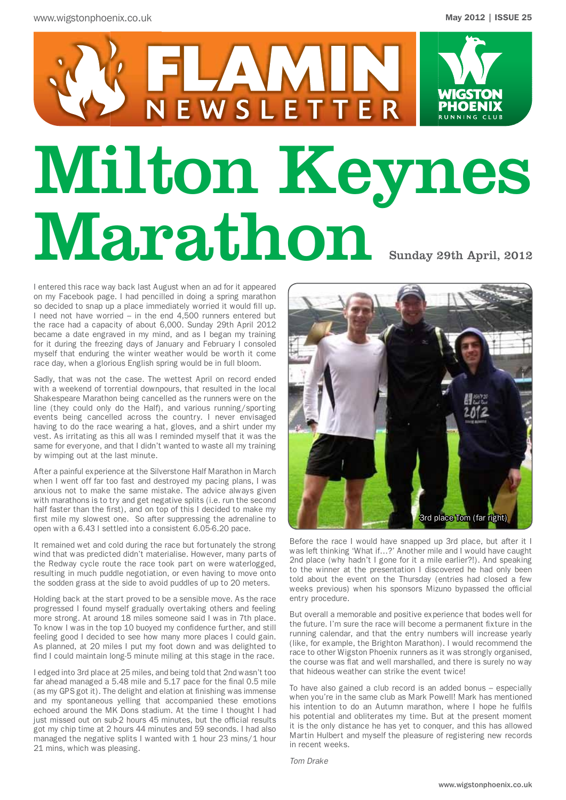

I entered this race way back last August when an ad for it appeared on my Facebook page. I had pencilled in doing a spring marathon so decided to snap up a place immediately worried it would fill up. I need not have worried – in the end 4,500 runners entered but the race had a capacity of about 6,000. Sunday 29th April 2012 became a date engraved in my mind, and as I began my training for it during the freezing days of January and February I consoled myself that enduring the winter weather would be worth it come race day, when a glorious English spring would be in full bloom.

Sadly, that was not the case. The wettest April on record ended with a weekend of torrential downpours, that resulted in the local Shakespeare Marathon being cancelled as the runners were on the line (they could only do the Half), and various running/sporting events being cancelled across the country. I never envisaged having to do the race wearing a hat, gloves, and a shirt under my vest. As irritating as this all was I reminded myself that it was the same for everyone, and that I didn't wanted to waste all my training by wimping out at the last minute.

After a painful experience at the Silverstone Half Marathon in March when I went off far too fast and destroyed my pacing plans, I was anxious not to make the same mistake. The advice always given with marathons is to try and get negative splits (i.e. run the second half faster than the first), and on top of this I decided to make my first mile my slowest one. So after suppressing the adrenaline to open with a 6.43 I settled into a consistent 6.05-6.20 pace.

It remained wet and cold during the race but fortunately the strong wind that was predicted didn't materialise. However, many parts of the Redway cycle route the race took part on were waterlogged, resulting in much puddle negotiation, or even having to move onto the sodden grass at the side to avoid puddles of up to 20 meters.

Holding back at the start proved to be a sensible move. As the race progressed I found myself gradually overtaking others and feeling more strong. At around 18 miles someone said I was in 7th place. To know I was in the top 10 buoyed my confidence further, and still feeling good I decided to see how many more places I could gain. As planned, at 20 miles I put my foot down and was delighted to find I could maintain long-5 minute miling at this stage in the race.

I edged into 3rd place at 25 miles, and being told that 2nd wasn't too far ahead managed a 5.48 mile and 5.17 pace for the final 0.5 mile (as my GPS got it). The delight and elation at finishing was immense and my spontaneous yelling that accompanied these emotions echoed around the MK Dons stadium. At the time I thought I had just missed out on sub-2 hours 45 minutes, but the official results got my chip time at 2 hours 44 minutes and 59 seconds. I had also managed the negative splits I wanted with 1 hour 23 mins/1 hour 21 mins, which was pleasing.



Before the race I would have snapped up 3rd place, but after it I was left thinking 'What if…?' Another mile and I would have caught 2nd place (why hadn't I gone for it a mile earlier?!). And speaking to the winner at the presentation I discovered he had only been told about the event on the Thursday (entries had closed a few weeks previous) when his sponsors Mizuno bypassed the official entry procedure.

But overall a memorable and positive experience that bodes well for the future. I'm sure the race will become a permanent fixture in the running calendar, and that the entry numbers will increase yearly (like, for example, the Brighton Marathon). I would recommend the race to other Wigston Phoenix runners as it was strongly organised, the course was flat and well marshalled, and there is surely no way that hideous weather can strike the event twice!

To have also gained a club record is an added bonus – especially when you're in the same club as Mark Powell! Mark has mentioned his intention to do an Autumn marathon, where I hope he fulfils his potential and obliterates my time. But at the present moment it is the only distance he has yet to conquer, and this has allowed Martin Hulbert and myself the pleasure of registering new records in recent weeks.

*Tom Drake*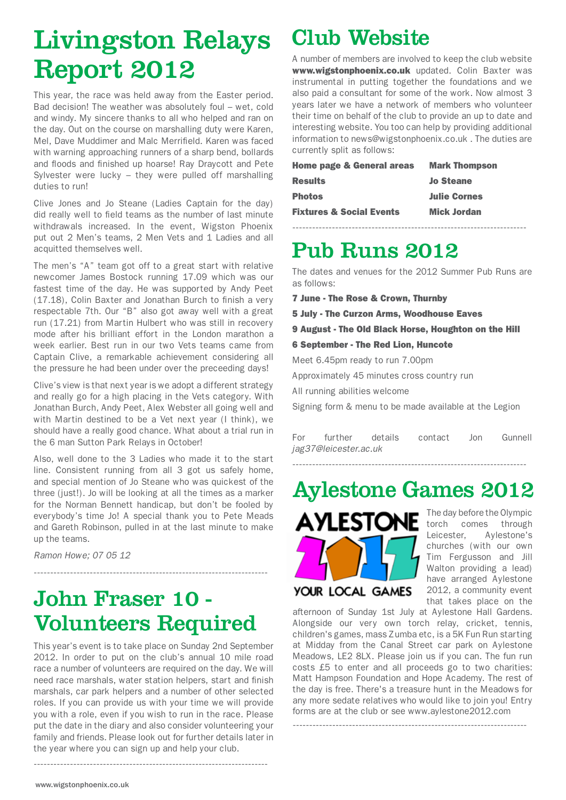# Livingston Relays Report 2012

This year, the race was held away from the Easter period. Bad decision! The weather was absolutely foul – wet, cold and windy. My sincere thanks to all who helped and ran on the day. Out on the course on marshalling duty were Karen, Mel, Dave Muddimer and Malc Merrifield. Karen was faced with warning approaching runners of a sharp bend, bollards and floods and finished up hoarse! Ray Draycott and Pete Sylvester were lucky – they were pulled off marshalling duties to run!

Clive Jones and Jo Steane (Ladies Captain for the day) did really well to field teams as the number of last minute withdrawals increased. In the event, Wigston Phoenix put out 2 Men's teams, 2 Men Vets and 1 Ladies and all acquitted themselves well.

The men's "A" team got off to a great start with relative newcomer James Bostock running 17.09 which was our fastest time of the day. He was supported by Andy Peet (17.18), Colin Baxter and Jonathan Burch to finish a very respectable 7th. Our "B" also got away well with a great run (17.21) from Martin Hulbert who was still in recovery mode after his brilliant effort in the London marathon a week earlier. Best run in our two Vets teams came from Captain Clive, a remarkable achievement considering all the pressure he had been under over the preceeding days!

Clive's view is that next year is we adopt a different strategy and really go for a high placing in the Vets category. With Jonathan Burch, Andy Peet, Alex Webster all going well and with Martin destined to be a Vet next year (I think), we should have a really good chance. What about a trial run in the 6 man Sutton Park Relays in October!

Also, well done to the 3 Ladies who made it to the start line. Consistent running from all 3 got us safely home, and special mention of Jo Steane who was quickest of the three (just!). Jo will be looking at all the times as a marker for the Norman Bennett handicap, but don't be fooled by everybody's time Jo! A special thank you to Pete Meads and Gareth Robinson, pulled in at the last minute to make up the teams.

*Ramon Howe; 07 05 12*

# John Fraser 10 - Volunteers Required

-----------------------------------------------------------------------

This year's event is to take place on Sunday 2nd September 2012. In order to put on the club's annual 10 mile road race a number of volunteers are required on the day. We will need race marshals, water station helpers, start and finish marshals, car park helpers and a number of other selected roles. If you can provide us with your time we will provide you with a role, even if you wish to run in the race. Please put the date in the diary and also consider volunteering your family and friends. Please look out for further details later in the year where you can sign up and help your club.

-----------------------------------------------------------------------

## Club Website

A number of members are involved to keep the club website www.wigstonphoenix.co.uk updated. Colin Baxter was instrumental in putting together the foundations and we also paid a consultant for some of the work. Now almost 3 years later we have a network of members who volunteer their time on behalf of the club to provide an up to date and interesting website. You too can help by providing additional information to news@wigstonphoenix.co.uk . The duties are currently split as follows:

| <b>Home page &amp; General areas</b> | <b>Mark Thompson</b> |
|--------------------------------------|----------------------|
| <b>Results</b>                       | <b>Jo Steane</b>     |
| <b>Photos</b>                        | <b>Julie Cornes</b>  |
| <b>Fixtures &amp; Social Events</b>  | <b>Mick Jordan</b>   |
|                                      |                      |

# Pub Runs 2012

The dates and venues for the 2012 Summer Pub Runs are as follows:

- 7 June The Rose & Crown, Thurnby
- 5 July The Curzon Arms, Woodhouse Eaves
- 9 August The Old Black Horse, Houghton on the Hill
- 6 September The Red Lion, Huncote

Meet 6.45pm ready to run 7.00pm

Approximately 45 minutes cross country run

All running abilities welcome

Signing form & menu to be made available at the Legion

| For | further               | details | contact | Jon | Gunnell |
|-----|-----------------------|---------|---------|-----|---------|
|     | jag37@leicester.ac.uk |         |         |     |         |

-----------------------------------------------------------------------

Aylestone Games 2012



The day before the Olympic torch comes through Leicester, Aylestone's churches (with our own Tim Fergusson and Jill Walton providing a lead) have arranged Aylestone 2012, a community event that takes place on the

afternoon of Sunday 1st July at Aylestone Hall Gardens. Alongside our very own torch relay, cricket, tennis, children's games, mass Zumba etc, is a 5K Fun Run starting at Midday from the Canal Street car park on Aylestone Meadows, LE2 8LX. Please join us if you can. The fun run costs £5 to enter and all proceeds go to two charities: Matt Hampson Foundation and Hope Academy. The rest of the day is free. There's a treasure hunt in the Meadows for any more sedate relatives who would like to join you! Entry forms are at the club or see www.aylestone2012.com

-----------------------------------------------------------------------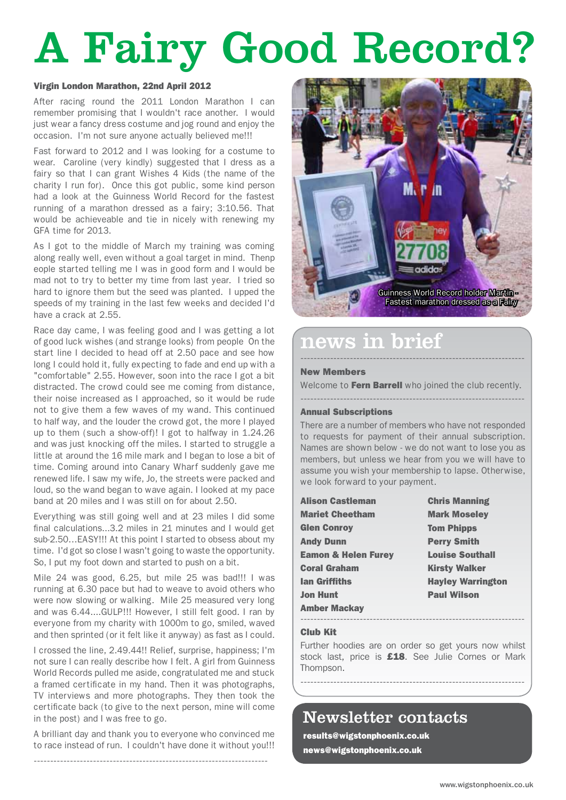# A Fairy Good Record?

#### Virgin London Marathon, 22nd April 2012

After racing round the 2011 London Marathon I can remember promising that I wouldn't race another. I would just wear a fancy dress costume and jog round and enjoy the occasion. I'm not sure anyone actually believed me!!!

Fast forward to 2012 and I was looking for a costume to wear. Caroline (very kindly) suggested that I dress as a fairy so that I can grant Wishes 4 Kids (the name of the charity I run for). Once this got public, some kind person had a look at the Guinness World Record for the fastest running of a marathon dressed as a fairy; 3:10.56. That would be achieveable and tie in nicely with renewing my GFA time for 2013.

As I got to the middle of March my training was coming along really well, even without a goal target in mind. Thenp eople started telling me I was in good form and I would be mad not to try to better my time from last year. I tried so hard to ignore them but the seed was planted. I upped the speeds of my training in the last few weeks and decided I'd have a crack at 2.55.

Race day came, I was feeling good and I was getting a lot of good luck wishes (and strange looks) from people On the start line I decided to head off at 2.50 pace and see how long I could hold it, fully expecting to fade and end up with a "comfortable" 2.55. However, soon into the race I got a bit distracted. The crowd could see me coming from distance, their noise increased as I approached, so it would be rude not to give them a few waves of my wand. This continued to half way, and the louder the crowd got, the more I played up to them (such a show-off)! I got to halfway in 1.24.26 and was just knocking off the miles. I started to struggle a little at around the 16 mile mark and I began to lose a bit of time. Coming around into Canary Wharf suddenly gave me renewed life. I saw my wife, Jo, the streets were packed and loud, so the wand began to wave again. I looked at my pace band at 20 miles and I was still on for about 2.50.

Everything was still going well and at 23 miles I did some final calculations...3.2 miles in 21 minutes and I would get sub-2.50…EASY!!! At this point I started to obsess about my time. I'd got so close I wasn't going to waste the opportunity. So, I put my foot down and started to push on a bit.

Mile 24 was good, 6.25, but mile 25 was bad!!! I was running at 6.30 pace but had to weave to avoid others who were now slowing or walking. Mile 25 measured very long and was 6.44....GULP!!! However, I still felt good. I ran by everyone from my charity with 1000m to go, smiled, waved and then sprinted (or it felt like it anyway) as fast as I could.

I crossed the line, 2.49.44!! Relief, surprise, happiness; I'm not sure I can really describe how I felt. A girl from Guinness World Records pulled me aside, congratulated me and stuck a framed certificate in my hand. Then it was photographs, TV interviews and more photographs. They then took the certificate back (to give to the next person, mine will come in the post) and I was free to go.

A brilliant day and thank you to everyone who convinced me to race instead of run. I couldn't have done it without you!!!

-----------------------------------------------------------------------



### ------------------------------------------------------------------- news in brief

#### New Members

Welcome to Fern Barrell who joined the club recently. --------------------------------------------------------------------

#### Annual Subscriptions

There are a number of members who have not responded to requests for payment of their annual subscription. Names are shown below - we do not want to lose you as members, but unless we hear from you we will have to assume you wish your membership to lapse. Otherwise, we look forward to your payment.

| <b>Alison Castleman</b>        | <b>Chris Manning</b>     |
|--------------------------------|--------------------------|
| <b>Mariet Cheetham</b>         | <b>Mark Moseley</b>      |
| <b>Glen Conroy</b>             | <b>Tom Phipps</b>        |
| <b>Andy Dunn</b>               | <b>Perry Smith</b>       |
| <b>Eamon &amp; Helen Furey</b> | <b>Louise Southall</b>   |
| <b>Coral Graham</b>            | <b>Kirsty Walker</b>     |
| <b>Ian Griffiths</b>           | <b>Hayley Warrington</b> |
| Jon Hunt                       | <b>Paul Wilson</b>       |
| <b>Amber Mackay</b>            |                          |
|                                |                          |

#### Club Kit

Further hoodies are on order so get yours now whilst stock last, price is **£18**. See Julie Cornes or Mark Thompson.

--------------------------------------------------------------------

## Newsletter contacts

results@wigstonphoenix.co.uk news@wigstonphoenix.co.uk